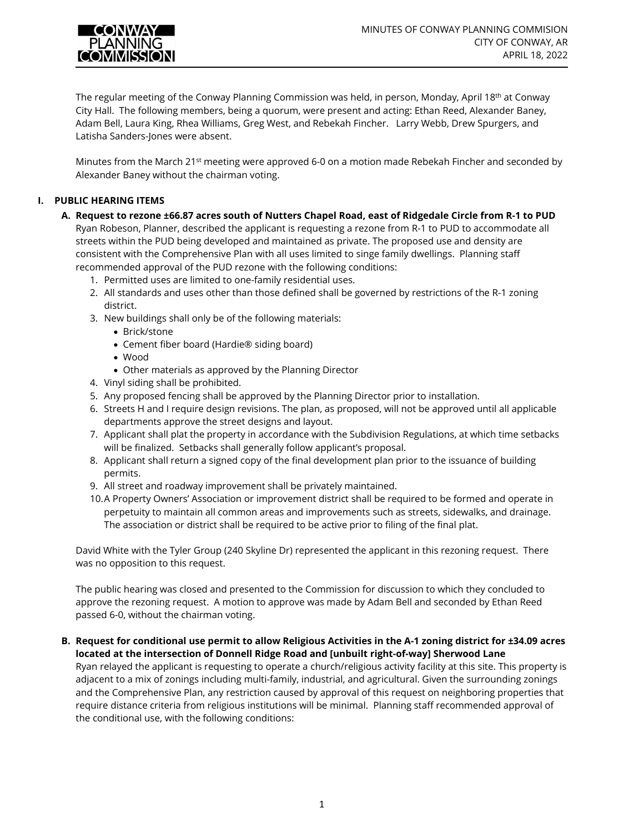

The regular meeting of the Conway Planning Commission was held, in person, Monday, April 18<sup>th</sup> at Conway City Hall. The following members, being a quorum, were present and acting: Ethan Reed, Alexander Baney, Adam Bell, Laura King, Rhea Williams, Greg West, and Rebekah Fincher. Larry Webb, Drew Spurgers, and Latisha Sanders-Jones were absent.

Minutes from the March 21st meeting were approved 6-0 on a motion made Rebekah Fincher and seconded by Alexander Baney without the chairman voting.

# **I. PUBLIC HEARING ITEMS**

- **A. Request to rezone ±66.87 acres south of Nutters Chapel Road, east of Ridgedale Circle from R-1 to PUD**  Ryan Robeson, Planner, described the applicant is requesting a rezone from R-1 to PUD to accommodate all streets within the PUD being developed and maintained as private. The proposed use and density are consistent with the Comprehensive Plan with all uses limited to singe family dwellings. Planning staff recommended approval of the PUD rezone with the following conditions:
	- 1. Permitted uses are limited to one-family residential uses.
	- 2. All standards and uses other than those defined shall be governed by restrictions of the R-1 zoning district.
	- 3. New buildings shall only be of the following materials:
		- Brick/stone
		- Cement fiber board (Hardie® siding board)
		- Wood
		- Other materials as approved by the Planning Director
	- 4. Vinyl siding shall be prohibited.
	- 5. Any proposed fencing shall be approved by the Planning Director prior to installation.
	- 6. Streets H and I require design revisions. The plan, as proposed, will not be approved until all applicable departments approve the street designs and layout.
	- 7. Applicant shall plat the property in accordance with the Subdivision Regulations, at which time setbacks will be finalized. Setbacks shall generally follow applicant's proposal.
	- 8. Applicant shall return a signed copy of the final development plan prior to the issuance of building permits.
	- 9. All street and roadway improvement shall be privately maintained.
	- 10.A Property Owners' Association or improvement district shall be required to be formed and operate in perpetuity to maintain all common areas and improvements such as streets, sidewalks, and drainage. The association or district shall be required to be active prior to filing of the final plat.

David White with the Tyler Group (240 Skyline Dr) represented the applicant in this rezoning request. There was no opposition to this request.

The public hearing was closed and presented to the Commission for discussion to which they concluded to approve the rezoning request. A motion to approve was made by Adam Bell and seconded by Ethan Reed passed 6-0, without the chairman voting.

#### **B. Request for conditional use permit to allow Religious Activities in the A-1 zoning district for ±34.09 acres located at the intersection of Donnell Ridge Road and [unbuilt right-of-way] Sherwood Lane**

Ryan relayed the applicant is requesting to operate a church/religious activity facility at this site. This property is adjacent to a mix of zonings including multi-family, industrial, and agricultural. Given the surrounding zonings and the Comprehensive Plan, any restriction caused by approval of this request on neighboring properties that require distance criteria from religious institutions will be minimal. Planning staff recommended approval of the conditional use, with the following conditions: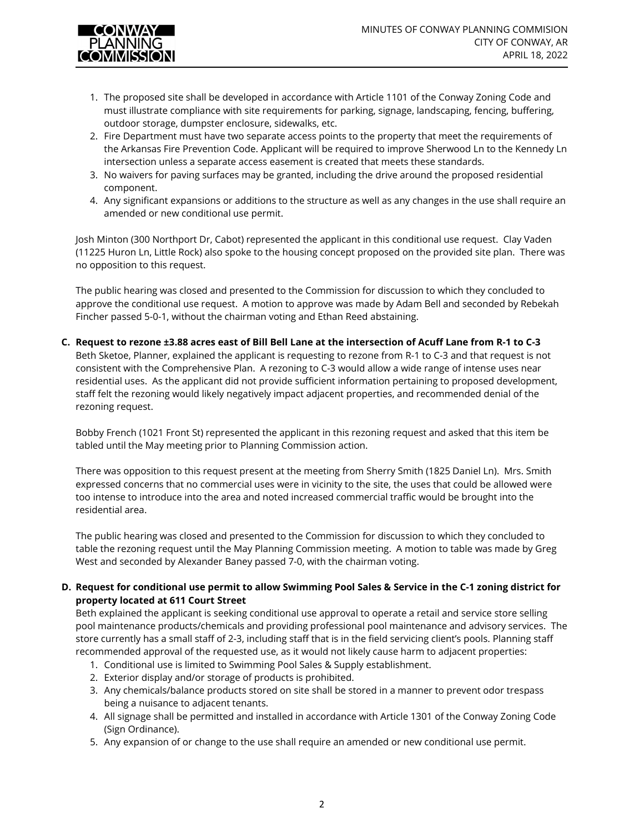

- 1. The proposed site shall be developed in accordance with Article 1101 of the Conway Zoning Code and must illustrate compliance with site requirements for parking, signage, landscaping, fencing, buffering, outdoor storage, dumpster enclosure, sidewalks, etc.
- 2. Fire Department must have two separate access points to the property that meet the requirements of the Arkansas Fire Prevention Code. Applicant will be required to improve Sherwood Ln to the Kennedy Ln intersection unless a separate access easement is created that meets these standards.
- 3. No waivers for paving surfaces may be granted, including the drive around the proposed residential component.
- 4. Any significant expansions or additions to the structure as well as any changes in the use shall require an amended or new conditional use permit.

Josh Minton (300 Northport Dr, Cabot) represented the applicant in this conditional use request. Clay Vaden (11225 Huron Ln, Little Rock) also spoke to the housing concept proposed on the provided site plan. There was no opposition to this request.

The public hearing was closed and presented to the Commission for discussion to which they concluded to approve the conditional use request. A motion to approve was made by Adam Bell and seconded by Rebekah Fincher passed 5-0-1, without the chairman voting and Ethan Reed abstaining.

#### **C. Request to rezone ±3.88 acres east of Bill Bell Lane at the intersection of Acuff Lane from R-1 to C-3**

Beth Sketoe, Planner, explained the applicant is requesting to rezone from R-1 to C-3 and that request is not consistent with the Comprehensive Plan. A rezoning to C-3 would allow a wide range of intense uses near residential uses. As the applicant did not provide sufficient information pertaining to proposed development, staff felt the rezoning would likely negatively impact adjacent properties, and recommended denial of the rezoning request.

Bobby French (1021 Front St) represented the applicant in this rezoning request and asked that this item be tabled until the May meeting prior to Planning Commission action.

There was opposition to this request present at the meeting from Sherry Smith (1825 Daniel Ln). Mrs. Smith expressed concerns that no commercial uses were in vicinity to the site, the uses that could be allowed were too intense to introduce into the area and noted increased commercial traffic would be brought into the residential area.

The public hearing was closed and presented to the Commission for discussion to which they concluded to table the rezoning request until the May Planning Commission meeting. A motion to table was made by Greg West and seconded by Alexander Baney passed 7-0, with the chairman voting.

## **D. Request for conditional use permit to allow Swimming Pool Sales & Service in the C-1 zoning district for property located at 611 Court Street**

Beth explained the applicant is seeking conditional use approval to operate a retail and service store selling pool maintenance products/chemicals and providing professional pool maintenance and advisory services. The store currently has a small staff of 2-3, including staff that is in the field servicing client's pools. Planning staff recommended approval of the requested use, as it would not likely cause harm to adjacent properties:

- 1. Conditional use is limited to Swimming Pool Sales & Supply establishment.
- 2. Exterior display and/or storage of products is prohibited.
- 3. Any chemicals/balance products stored on site shall be stored in a manner to prevent odor trespass being a nuisance to adjacent tenants.
- 4. All signage shall be permitted and installed in accordance with Article 1301 of the Conway Zoning Code (Sign Ordinance).
- 5. Any expansion of or change to the use shall require an amended or new conditional use permit.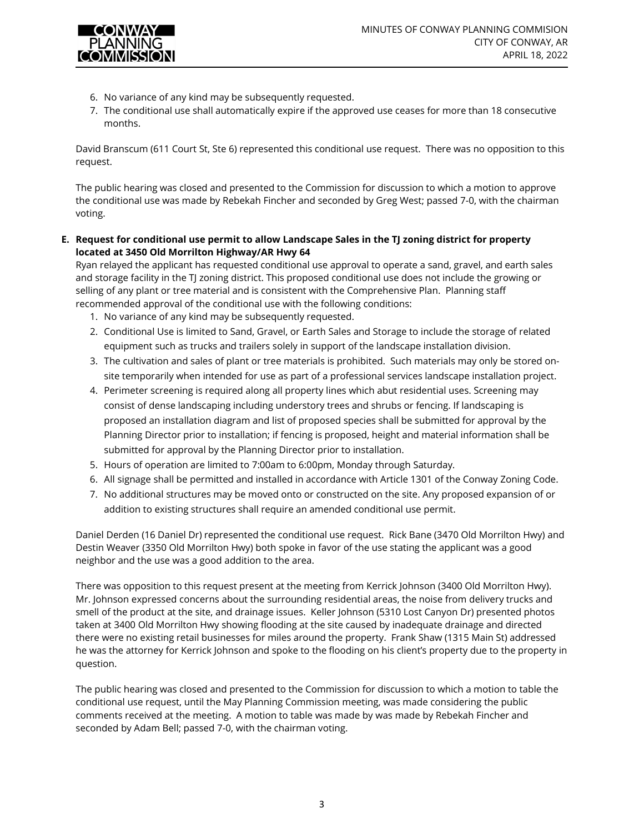

- 6. No variance of any kind may be subsequently requested.
- 7. The conditional use shall automatically expire if the approved use ceases for more than 18 consecutive months.

David Branscum (611 Court St, Ste 6) represented this conditional use request. There was no opposition to this request.

The public hearing was closed and presented to the Commission for discussion to which a motion to approve the conditional use was made by Rebekah Fincher and seconded by Greg West; passed 7-0, with the chairman voting.

**E. Request for conditional use permit to allow Landscape Sales in the TJ zoning district for property located at 3450 Old Morrilton Highway/AR Hwy 64** 

Ryan relayed the applicant has requested conditional use approval to operate a sand, gravel, and earth sales and storage facility in the TJ zoning district. This proposed conditional use does not include the growing or selling of any plant or tree material and is consistent with the Comprehensive Plan. Planning staff recommended approval of the conditional use with the following conditions:

- 1. No variance of any kind may be subsequently requested.
- 2. Conditional Use is limited to Sand, Gravel, or Earth Sales and Storage to include the storage of related equipment such as trucks and trailers solely in support of the landscape installation division.
- 3. The cultivation and sales of plant or tree materials is prohibited. Such materials may only be stored onsite temporarily when intended for use as part of a professional services landscape installation project.
- 4. Perimeter screening is required along all property lines which abut residential uses. Screening may consist of dense landscaping including understory trees and shrubs or fencing. If landscaping is proposed an installation diagram and list of proposed species shall be submitted for approval by the Planning Director prior to installation; if fencing is proposed, height and material information shall be submitted for approval by the Planning Director prior to installation.
- 5. Hours of operation are limited to 7:00am to 6:00pm, Monday through Saturday.
- 6. All signage shall be permitted and installed in accordance with Article 1301 of the Conway Zoning Code.
- 7. No additional structures may be moved onto or constructed on the site. Any proposed expansion of or addition to existing structures shall require an amended conditional use permit.

Daniel Derden (16 Daniel Dr) represented the conditional use request. Rick Bane (3470 Old Morrilton Hwy) and Destin Weaver (3350 Old Morrilton Hwy) both spoke in favor of the use stating the applicant was a good neighbor and the use was a good addition to the area.

There was opposition to this request present at the meeting from Kerrick Johnson (3400 Old Morrilton Hwy). Mr. Johnson expressed concerns about the surrounding residential areas, the noise from delivery trucks and smell of the product at the site, and drainage issues. Keller Johnson (5310 Lost Canyon Dr) presented photos taken at 3400 Old Morrilton Hwy showing flooding at the site caused by inadequate drainage and directed there were no existing retail businesses for miles around the property. Frank Shaw (1315 Main St) addressed he was the attorney for Kerrick Johnson and spoke to the flooding on his client's property due to the property in question.

The public hearing was closed and presented to the Commission for discussion to which a motion to table the conditional use request, until the May Planning Commission meeting, was made considering the public comments received at the meeting. A motion to table was made by was made by Rebekah Fincher and seconded by Adam Bell; passed 7-0, with the chairman voting.